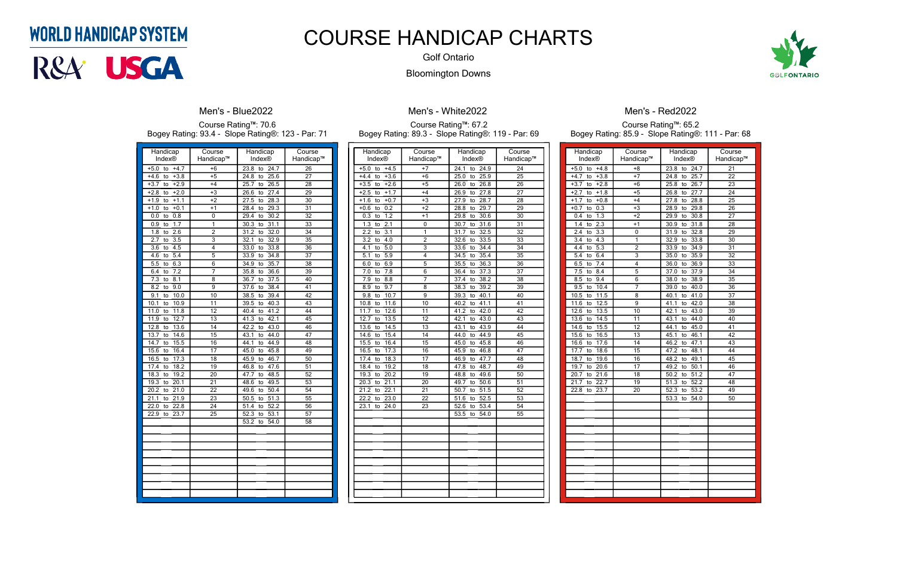|                               |                     |                                 | Bogey Rating: 93.4 - Slope Rating®: 123 - Par: 71 |
|-------------------------------|---------------------|---------------------------------|---------------------------------------------------|
| Handicap<br>Index®            | Course<br>Handicap™ | Handicap<br>Index®              | Course<br>Handicap™                               |
| $+4.7$<br>$+5.0$<br>to        | $+6$                | 23.8<br>24.7<br>to              | $\overline{26}$                                   |
| $+4.6$<br>$+3.8$<br>to        | $+5$                | 24.8<br>25.6<br>to              | 27                                                |
| $+3.7$<br>$+2.9$<br>to        | $+4$                | 26.5<br>25.7<br>to              | $\overline{28}$                                   |
| $+2.0$<br>$+2.8$<br>to        | $+3$                | 27.4<br>26.6<br>to              | 29                                                |
| $+1.1$<br>$+1.9$<br>to        | $+2$                | $\overline{27.5}$<br>28.3<br>to | 30                                                |
| $+1.0$<br>$+0.1$<br>to        | $+1$                | $\overline{29.3}$<br>28.4<br>to | 31                                                |
| 0.0<br>0.8<br>to              | 0                   | 29.4<br>30.2<br>to              | 32                                                |
| 1.7<br>0.9<br>to              | 1                   | 31.1<br>30.3<br>to              | 33                                                |
| $\overline{2.6}$<br>1.8<br>to | $\overline{2}$      | 32.0<br>31.2<br>to              | 34                                                |
| 2.7<br>3.5<br>to              | $\overline{3}$      | 32.1<br>32.9<br>to              | $\overline{35}$                                   |
| $\overline{3.6}$<br>4.5<br>to | 4                   | 33.8<br>33.0<br>to              | $\overline{36}$                                   |
| 4.6<br>5.4<br>to              | 5                   | 33.9<br>34.8<br>to              | 37                                                |
| 6.3<br>5.5<br>to              | 6                   | 35.7<br>34.9<br>to              | $\overline{38}$                                   |
| 7.2<br>6.4<br>to              | 7                   | 35.8<br>36.6<br>to              | 39                                                |
| 7.3<br>8.1<br>to              | 8                   | 37.5<br>36.7<br>to              | 40                                                |
| 8.2<br>$\overline{9.0}$<br>to | $\overline{9}$      | 38.4<br>37.6<br>to              | 41                                                |
| 9.1<br>10.0<br>to             | 10                  | 38.5<br>39.4<br>to              | 42                                                |
| 10.9<br>10.1<br>to            | 11                  | 40.3<br>39.5<br>to              | 43                                                |
| 11.0<br>11.8<br>to            | 12                  | 40.4<br>41.2<br>to              | 44                                                |
| 12.7<br>11.9<br>to            | 13                  | 41.3<br>42.1<br>to              | $\overline{45}$                                   |
| 12.8<br>13.6<br>to            | 14                  | 43.0<br>42.2<br>to              | 46                                                |
| 13.7<br>14.6<br>to            | 15                  | 43.1<br>44.0<br>to              | $\overline{47}$                                   |
| 14.7<br>15.5<br>to            | 16                  | 44.1<br>44.9<br>to              | 48                                                |
| 15.6<br>16.4<br>to            | 17                  | 45.0<br>45.8<br>to              | 49                                                |
| 16.5<br>17.3<br>to            | 18                  | 45.9<br>46.7<br>to              | 50                                                |
| 17.4<br>18.2<br>to            | 19                  | 47.6<br>46.8<br>to              | 51                                                |
| 18.3<br>19.2<br>to            | 20                  | 48.5<br>47.7<br>to              | $\overline{52}$                                   |
| 19.3<br>20.1<br>to            | 21                  | 48.6<br>49.5<br>to              | 53                                                |
| 20.2<br>21.0<br>to            | 22                  | 49.6<br>50.4<br>to              | $\overline{54}$                                   |
| 21.1<br>21.9<br>to            | 23                  | 50.5<br>$\overline{51.3}$<br>to | $\overline{55}$                                   |
| 22.8<br>22.0<br>to            | $\overline{24}$     | 52.2<br>51.4<br>to              | 56                                                |
| 22.9<br>23.7<br>to            | 25                  | 52.3<br>53.1<br>to              | 57                                                |
|                               |                     | 53.2<br>54.0<br>to              | 58                                                |
|                               |                     |                                 |                                                   |
|                               |                     |                                 |                                                   |
|                               |                     |                                 |                                                   |
|                               |                     |                                 |                                                   |
|                               |                     |                                 |                                                   |
|                               |                     |                                 |                                                   |
|                               |                     |                                 |                                                   |
|                               |                     |                                 |                                                   |
|                               |                     |                                 |                                                   |



#### **Men's - Blue2022**

Course Rating™: 70.6 Bogey Rating: 93.4 - Slope Rating®: 123 - Par: 71

> Handicap Index®

 $+5.0$  to  $+4.5$  $+4.4$  to  $+3.6$  $+3.5$  to  $+2.6$  $+2.5$  to  $+1.7$  $+1.6$  to  $+0.7$  $+0.6$  to 0.2  $0.3$  to  $1.2$ 1.3 to  $2.1$  $2.2$  to  $3.1$  $3.2$  to  $4.0$  $4.1$  to  $5.0$  $\overline{5.1}$  to  $\overline{5.9}$  $6.0 \text{ to } 6.9$  $7.0 \text{ to } 7.8$ 7.9 to 8.8 7  $8.9 \text{ to } 9.7$ 9.8 to 10.7 10.8 to  $11.6$ 11.7 to  $12.6$ 12.7 to 13.5  $13.6$  to  $14.5$  $14.6$  to  $15.4$ 15.5 to 16.4 16.5 to 17.3 17.4 to 18.3 18.4 to 19.2 19.3 to 20.2  $20.3$  to  $21.1$  $21.2$  to  $22.1$  $22.2$  to  $23.0$  $23.1$  to  $24.0$ 

| Course                    | Handicap           | Course          | Handicap                        | Course         |
|---------------------------|--------------------|-----------------|---------------------------------|----------------|
| Handicap™                 | Index®             | Handicap™       | Index®                          | Handicap™      |
| $+7$                      | 24.1<br>to<br>24.9 | 24              | $+5.0$<br>to<br>$+4.8$          | $+8$           |
| $+6$                      | 25.0<br>25.9<br>to | $\overline{25}$ | $+3.8$<br>$+4.7$<br>to          | $+7$           |
| $+5$                      | 26.0<br>26.8<br>to | 26              | $+3.7$<br>$+2.8$<br>to          | $+6$           |
| $+4$                      | 27.8<br>26.9<br>to | $\overline{27}$ | $+1.8$<br>$+2.7$<br>to          | $+5$           |
| $+3$                      | 28.7<br>27.9<br>to | 28              | $+0.8$<br>$+1.7$<br>to          | $+4$           |
| $+2$                      | 29.7<br>28.8<br>to | 29              | $+0.7$<br>0.3<br>to             | $+3$           |
| $+1$                      | 29.8<br>30.6<br>to | $\overline{30}$ | $\overline{1.3}$<br>0.4<br>to   | $+2$           |
| 0                         | 31.6<br>30.7<br>to | $\overline{31}$ | 2.3<br>1.4<br>to                | $+1$           |
| 1                         | 32.5<br>31.7<br>to | 32              | 3.3<br>2.4<br>to                | 0              |
| $\overline{2}$            | 33.5<br>32.6<br>to | 33              | 4.3<br>3.4<br>to                | $\overline{1}$ |
| $\overline{\overline{3}}$ | 34.4<br>33.6<br>to | 34              | $\overline{5.3}$<br>4.4<br>to   | $\overline{2}$ |
| $\overline{4}$            | 35.4<br>34.5<br>to | $\overline{35}$ | 6.4<br>to<br>5.4                | $\overline{3}$ |
| $\overline{5}$            | 35.5<br>36.3<br>to | $\overline{36}$ | 7.4<br>6.5<br>to                | $\overline{4}$ |
| 6                         | 37.3<br>36.4<br>to | 37              | 7.5<br>8.4<br>to                | 5              |
| 7                         | 38.2<br>37.4<br>to | $\overline{38}$ | 9.4<br>$\overline{8.5}$<br>to   | $\overline{6}$ |
| 8                         | 38.3<br>39.2<br>to | $\overline{39}$ | 10.4<br>9.5<br>to               | 7              |
| 9                         | 39.3<br>40.1<br>to | 40              | $\overline{11.5}$<br>10.5<br>to | 8              |
| 10                        | 41.1<br>40.2<br>to | 41              | 12.5<br>11.6<br>to              | 9              |
| 11                        | 41.2<br>42.0<br>to | 42              | 12.6<br>13.5<br>to              | 10             |
| 12                        | 42.1<br>43.0<br>to | 43              | 13.6<br>14.5<br>to              | 11             |
| 13                        | 43.1<br>43.9<br>to | 44              | 15.5<br>14.6<br>to              | 12             |
| 14                        | 44.9<br>44.0<br>to | 45              | 15.6<br>16.5<br>to              | 13             |
| $\overline{15}$           | 45.8<br>45.0<br>to | 46              | 17.6<br>16.6<br>to              | 14             |
| 16                        | 45.9<br>46.8<br>to | 47              | 18.6<br>17.7<br>to              | 15             |
| $\overline{17}$           | 47.7<br>46.9<br>to | 48              | 19.6<br>18.7<br>to              | 16             |
| $\overline{18}$           | 48.7<br>47.8<br>to | 49              | 19.7<br>20.6<br>to              | 17             |
| $\overline{19}$           | 49.6<br>48.8<br>to | $\overline{50}$ | 21.6<br>20.7<br>to              | 18             |
| 20                        | 50.6<br>49.7<br>to | $\overline{51}$ | 22.7<br>21.7<br>to              | 19             |
| 21                        | 51.5<br>50.7<br>to | 52              | 22.8<br>23.7<br>to              | 20             |
| 22                        | 52.5<br>51.6<br>to | 53              |                                 |                |
| 23                        | 52.6<br>53.4<br>to | 54              |                                 |                |
|                           | 53.5<br>54.0<br>to | $\overline{55}$ |                                 |                |
|                           |                    |                 |                                 |                |
|                           |                    |                 |                                 |                |
|                           |                    |                 |                                 |                |
|                           |                    |                 |                                 |                |
|                           |                    |                 |                                 |                |
|                           |                    |                 |                                 |                |
|                           |                    |                 |                                 |                |
|                           |                    |                 |                                 |                |
|                           |                    |                 |                                 |                |
|                           |                    |                 |                                 |                |
|                           |                    |                 |                                 |                |

**Men's - White2022** Course Rating™: 67.2

# Bogey Rating: 89.3 - Slope Rating®: 119 - Par: 69

| Handicap                                     | Course          |
|----------------------------------------------|-----------------|
| Index®                                       | Handicap™       |
| 24.7<br>$\overline{23.8}$<br>to              | $\overline{21}$ |
| 25.7<br>24.8<br>to                           | $\overline{22}$ |
| 25.8<br>$\frac{1}{26}$ .7<br>to              | 23              |
| 27.7<br>26.8<br>to                           | 24              |
| 28.8<br>27.8<br>to                           | 25              |
| $\overline{28.9}$<br>$\overline{29.8}$<br>to | $\overline{26}$ |
| 29.9<br>30.8<br>to                           | $\overline{27}$ |
| 30.9<br>31.8<br>to                           | 28              |
| $\overline{31.9}$<br>32.8<br>to              | 29              |
| 32.9<br>33.8<br>to                           | $\overline{30}$ |
| 33.9<br>34.9<br>to                           | $\overline{31}$ |
| 35.0<br>35.9<br>to                           | 32              |
| 36.0<br>36.9<br>to                           | $\overline{33}$ |
| 37.9<br>$\frac{1}{37.0}$<br>to               | $\overline{34}$ |
| $\overline{38.0}$<br>38.9<br>to              | $\overline{35}$ |
| 39.0<br>40.0<br>to                           | $\overline{36}$ |
| 40.1<br>41.0<br>to                           | $\overline{37}$ |
| 41.1<br>42.0<br>$\overline{t}$               | 38              |
| 42.1<br>43.0<br>to                           | 39              |
| 43.1<br>44.0<br>to                           | 40              |
| 44.1<br>45.0<br>to                           | 41              |
| 45.1<br>46.1<br>to                           | $\overline{42}$ |
| 46.2<br>to<br>47.1                           | 43              |
| 48.1<br>47.2<br>to                           | 44              |
| 48.2<br>49.1<br>to                           | $\overline{45}$ |
| 49.2<br>$\frac{1}{50.1}$<br>to               | 46              |
| 50.2<br>51.2<br>to                           | $\overline{47}$ |
| $\overline{51.3}$<br>$\overline{52.2}$<br>to | $\overline{48}$ |
| $\overline{53.2}$<br>$\overline{52.3}$<br>to | 49              |
| $\overline{53.3}$<br>54.0<br>to              | 50              |
|                                              |                 |
|                                              |                 |
|                                              |                 |
|                                              |                 |
|                                              |                 |
|                                              |                 |
|                                              |                 |
|                                              |                 |
|                                              |                 |
|                                              |                 |
|                                              |                 |
|                                              |                 |

### Men's - Red2022

#### Course Rating™: 65.2 Bogey Rating: 85.9 - Slope Rating®: 111 - Par: 68

### **WORLD HANDICAP SYSTEM**



COURSE HANDICAP CHARTS

Golf Ontario Bloomington Downs